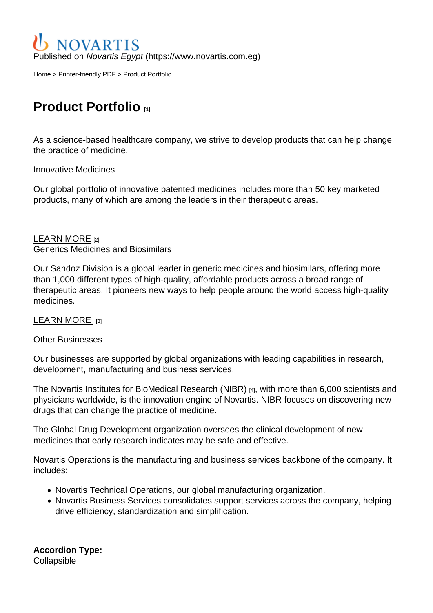## Published on Novartis Egypt [\(https://www.novartis.com.eg](https://www.novartis.com.eg))

[Home](https://www.novartis.com.eg/en) > [Printer-friendly PDF](https://www.novartis.com.eg/en/printpdf) > Product Portfolio

# [Product Portfolio](https://www.novartis.com.eg/en/our-work/product-portfolio) [1]

As a science-based healthcare company, we strive to develop products that can help change the practice of medicine.

Innovative Medicines

Our global portfolio of innovative patented medicines includes more than 50 key marketed products, many of which are among the leaders in their therapeutic areas.

### [LEARN MORE](https://www.novartis.com/our-company) [2] Generics Medicines and Biosimilars

Our Sandoz Division is a global leader in generic medicines and biosimilars, offering more than 1,000 different types of high-quality, affordable products across a broad range of therapeutic areas. It pioneers new ways to help people around the world access high-quality medicines.

#### [LEARN MORE](https://www.sandoz.com/) [3]

#### Other Businesses

Our businesses are supported by global organizations with leading capabilities in research, development, manufacturing and business services.

The [Novartis Institutes for BioMedical Research \(NIBR\)](http://www.nibr.com/) [4], with more than 6,000 scientists and physicians worldwide, is the innovation engine of Novartis. NIBR focuses on discovering new drugs that can change the practice of medicine.

The Global Drug Development organization oversees the clinical development of new medicines that early research indicates may be safe and effective.

Novartis Operations is the manufacturing and business services backbone of the company. It includes:

- Novartis Technical Operations, our global manufacturing organization.
- Novartis Business Services consolidates support services across the company, helping drive efficiency, standardization and simplification.

Accordion Type : **Collapsible**